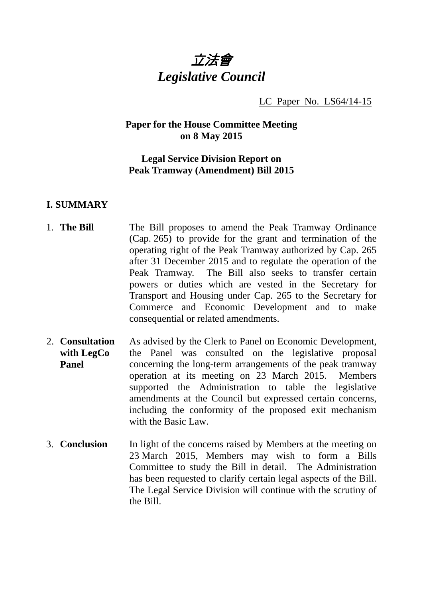

LC Paper No. LS64/14-15

## **Paper for the House Committee Meeting on 8 May 2015**

## **Legal Service Division Report on Peak Tramway (Amendment) Bill 2015**

### **I. SUMMARY**

- 1. **The Bill The Bill proposes to amend the Peak Tramway Ordinance** (Cap. 265) to provide for the grant and termination of the operating right of the Peak Tramway authorized by Cap. 265 after 31 December 2015 and to regulate the operation of the Peak Tramway. The Bill also seeks to transfer certain powers or duties which are vested in the Secretary for Transport and Housing under Cap. 265 to the Secretary for Commerce and Economic Development and to make consequential or related amendments.
- 2. **Consultation with LegCo Panel**  As advised by the Clerk to Panel on Economic Development, the Panel was consulted on the legislative proposal concerning the long-term arrangements of the peak tramway operation at its meeting on 23 March 2015. Members supported the Administration to table the legislative amendments at the Council but expressed certain concerns, including the conformity of the proposed exit mechanism with the Basic Law.
- 3. **Conclusion** In light of the concerns raised by Members at the meeting on 23 March 2015, Members may wish to form a Bills Committee to study the Bill in detail. The Administration has been requested to clarify certain legal aspects of the Bill. The Legal Service Division will continue with the scrutiny of the Bill.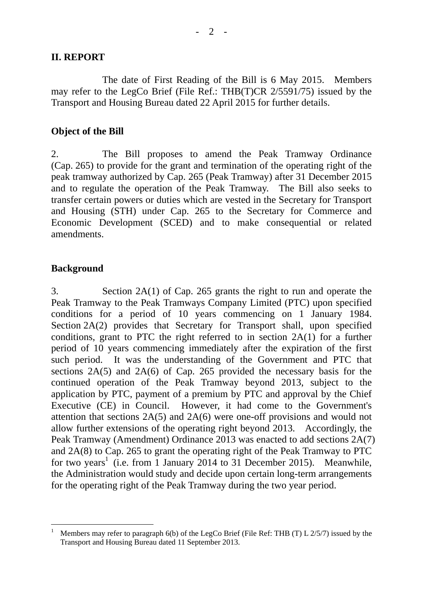#### **II. REPORT**

The date of First Reading of the Bill is 6 May 2015. Members may refer to the LegCo Brief (File Ref.: THB(T)CR 2/5591/75) issued by the Transport and Housing Bureau dated 22 April 2015 for further details.

#### **Object of the Bill**

2. The Bill proposes to amend the Peak Tramway Ordinance (Cap. 265) to provide for the grant and termination of the operating right of the peak tramway authorized by Cap. 265 (Peak Tramway) after 31 December 2015 and to regulate the operation of the Peak Tramway. The Bill also seeks to transfer certain powers or duties which are vested in the Secretary for Transport and Housing (STH) under Cap. 265 to the Secretary for Commerce and Economic Development (SCED) and to make consequential or related amendments.

### **Background**

3. Section 2A(1) of Cap. 265 grants the right to run and operate the Peak Tramway to the Peak Tramways Company Limited (PTC) upon specified conditions for a period of 10 years commencing on 1 January 1984. Section 2A(2) provides that Secretary for Transport shall, upon specified conditions, grant to PTC the right referred to in section 2A(1) for a further period of 10 years commencing immediately after the expiration of the first such period. It was the understanding of the Government and PTC that sections 2A(5) and 2A(6) of Cap. 265 provided the necessary basis for the continued operation of the Peak Tramway beyond 2013, subject to the application by PTC, payment of a premium by PTC and approval by the Chief Executive (CE) in Council. However, it had come to the Government's attention that sections 2A(5) and 2A(6) were one-off provisions and would not allow further extensions of the operating right beyond 2013. Accordingly, the Peak Tramway (Amendment) Ordinance 2013 was enacted to add sections 2A(7) and 2A(8) to Cap. 265 to grant the operating right of the Peak Tramway to PTC for two years<sup>1</sup> (i.e. from 1 January 2014 to 31 December 2015). Meanwhile, the Administration would study and decide upon certain long-term arrangements for the operating right of the Peak Tramway during the two year period.

 $\overline{a}$ 1 Members may refer to paragraph 6(b) of the LegCo Brief (File Ref: THB (T) L 2/5/7) issued by the Transport and Housing Bureau dated 11 September 2013.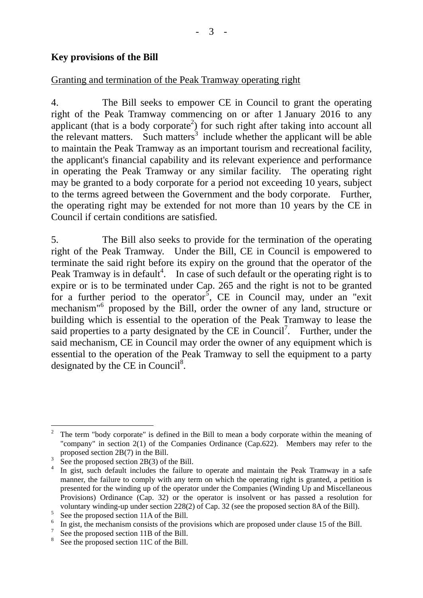## **Key provisions of the Bill**

### Granting and termination of the Peak Tramway operating right

4. The Bill seeks to empower CE in Council to grant the operating right of the Peak Tramway commencing on or after 1 January 2016 to any applicant (that is a body corporate<sup>2</sup>) for such right after taking into account all the relevant matters. Such matters<sup>3</sup> include whether the applicant will be able to maintain the Peak Tramway as an important tourism and recreational facility, the applicant's financial capability and its relevant experience and performance in operating the Peak Tramway or any similar facility. The operating right may be granted to a body corporate for a period not exceeding 10 years, subject to the terms agreed between the Government and the body corporate. Further, the operating right may be extended for not more than 10 years by the CE in Council if certain conditions are satisfied.

5. The Bill also seeks to provide for the termination of the operating right of the Peak Tramway. Under the Bill, CE in Council is empowered to terminate the said right before its expiry on the ground that the operator of the Peak Tramway is in default<sup>4</sup>. In case of such default or the operating right is to expire or is to be terminated under Cap. 265 and the right is not to be granted for a further period to the operator<sup>5</sup>, CE in Council may, under an "exit" mechanism<sup>"6</sup> proposed by the Bill, order the owner of any land, structure or building which is essential to the operation of the Peak Tramway to lease the said properties to a party designated by the CE in Council<sup>7</sup>. Further, under the said mechanism, CE in Council may order the owner of any equipment which is essential to the operation of the Peak Tramway to sell the equipment to a party designated by the CE in Council<sup>8</sup>.

 $\overline{a}$ 2 The term "body corporate" is defined in the Bill to mean a body corporate within the meaning of "company" in section 2(1) of the Companies Ordinance (Cap.622). Members may refer to the proposed section 2B(7) in the Bill.

<sup>3</sup> See the proposed section 2B(3) of the Bill.

<sup>4</sup> In gist, such default includes the failure to operate and maintain the Peak Tramway in a safe manner, the failure to comply with any term on which the operating right is granted, a petition is presented for the winding up of the operator under the Companies (Winding Up and Miscellaneous Provisions) Ordinance (Cap. 32) or the operator is insolvent or has passed a resolution for voluntary winding-up under section 228(2) of Cap. 32 (see the proposed section 8A of the Bill).

<sup>5</sup> See the proposed section 11A of the Bill.

<sup>&</sup>lt;sup>6</sup> In gist, the mechanism consists of the provisions which are proposed under clause 15 of the Bill.

 $\frac{7}{18}$  See the proposed section 11B of the Bill.

<sup>&</sup>lt;sup>8</sup> See the proposed section 11C of the Bill.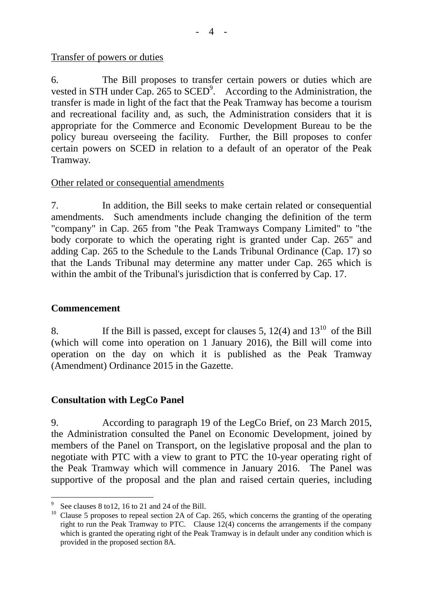#### Transfer of powers or duties

6. The Bill proposes to transfer certain powers or duties which are vested in STH under Cap. 265 to  $\text{SCED}^9$ . According to the Administration, the transfer is made in light of the fact that the Peak Tramway has become a tourism and recreational facility and, as such, the Administration considers that it is appropriate for the Commerce and Economic Development Bureau to be the policy bureau overseeing the facility. Further, the Bill proposes to confer certain powers on SCED in relation to a default of an operator of the Peak Tramway.

### Other related or consequential amendments

7. In addition, the Bill seeks to make certain related or consequential amendments. Such amendments include changing the definition of the term "company" in Cap. 265 from "the Peak Tramways Company Limited" to "the body corporate to which the operating right is granted under Cap. 265" and adding Cap. 265 to the Schedule to the Lands Tribunal Ordinance (Cap. 17) so that the Lands Tribunal may determine any matter under Cap. 265 which is within the ambit of the Tribunal's jurisdiction that is conferred by Cap. 17.

### **Commencement**

 $\overline{a}$ 

8. If the Bill is passed, except for clauses 5, 12(4) and  $13^{10}$  of the Bill (which will come into operation on 1 January 2016), the Bill will come into operation on the day on which it is published as the Peak Tramway (Amendment) Ordinance 2015 in the Gazette.

### **Consultation with LegCo Panel**

9. According to paragraph 19 of the LegCo Brief, on 23 March 2015, the Administration consulted the Panel on Economic Development, joined by members of the Panel on Transport, on the legislative proposal and the plan to negotiate with PTC with a view to grant to PTC the 10-year operating right of the Peak Tramway which will commence in January 2016. The Panel was supportive of the proposal and the plan and raised certain queries, including

<sup>9</sup> See clauses 8 to12, 16 to 21 and 24 of the Bill.

<sup>&</sup>lt;sup>10</sup> Clause 5 proposes to repeal section 2A of Cap. 265, which concerns the granting of the operating  $\frac{10}{2}$ right to run the Peak Tramway to PTC. Clause 12(4) concerns the arrangements if the company which is granted the operating right of the Peak Tramway is in default under any condition which is provided in the proposed section 8A.